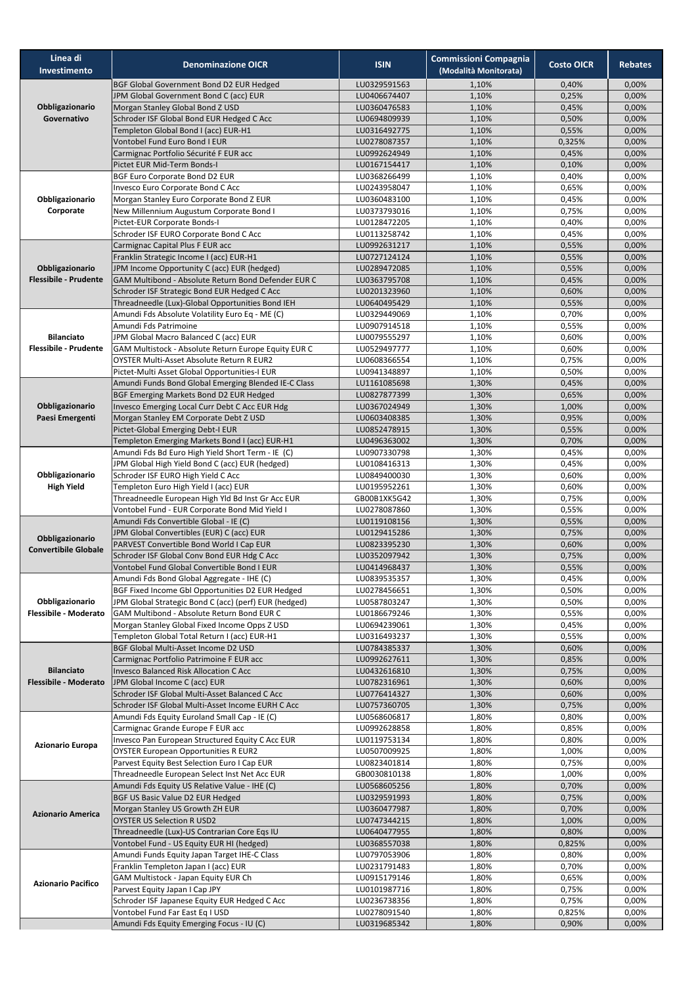| Linea di<br>Investimento                          | <b>Denominazione OICR</b>                                                                        | <b>ISIN</b>                  | <b>Commissioni Compagnia</b><br>(Modalità Monitorata) | <b>Costo OICR</b> | <b>Rebates</b> |
|---------------------------------------------------|--------------------------------------------------------------------------------------------------|------------------------------|-------------------------------------------------------|-------------------|----------------|
| Obbligazionario                                   | BGF Global Government Bond D2 EUR Hedged                                                         | LU0329591563                 | 1,10%                                                 | 0,40%             | 0,00%          |
|                                                   | JPM Global Government Bond C (acc) EUR                                                           | LU0406674407                 | 1,10%                                                 | 0,25%             | 0,00%          |
|                                                   | Morgan Stanley Global Bond Z USD                                                                 | LU0360476583                 | 1,10%                                                 | 0,45%             | 0,00%          |
| Governativo                                       | Schroder ISF Global Bond EUR Hedged C Acc<br>Templeton Global Bond I (acc) EUR-H1                | LU0694809939<br>LU0316492775 | 1,10%<br>1,10%                                        | 0,50%<br>0,55%    | 0,00%<br>0,00% |
|                                                   | Vontobel Fund Euro Bond I EUR                                                                    | LU0278087357                 | 1,10%                                                 | 0,325%            | 0,00%          |
|                                                   | Carmignac Portfolio Sécurité F EUR acc                                                           | LU0992624949                 | 1,10%                                                 | 0,45%             | 0,00%          |
|                                                   | Pictet EUR Mid-Term Bonds-I                                                                      | LU0167154417                 | 1,10%                                                 | 0,10%             | 0,00%          |
| Obbligazionario<br>Corporate                      | <b>BGF Euro Corporate Bond D2 EUR</b>                                                            | LU0368266499                 | 1,10%                                                 | 0,40%             | 0,00%          |
|                                                   | Invesco Euro Corporate Bond C Acc                                                                | LU0243958047                 | 1,10%                                                 | 0,65%             | 0,00%          |
|                                                   | Morgan Stanley Euro Corporate Bond Z EUR                                                         | LU0360483100                 | 1,10%                                                 | 0,45%             | 0,00%          |
|                                                   | New Millennium Augustum Corporate Bond I<br>Pictet-EUR Corporate Bonds-I                         | LU0373793016<br>LU0128472205 | 1,10%<br>1,10%                                        | 0,75%<br>0,40%    | 0,00%<br>0,00% |
|                                                   | Schroder ISF EURO Corporate Bond C Acc                                                           | LU0113258742                 | 1,10%                                                 | 0,45%             | 0,00%          |
| Obbligazionario<br><b>Flessibile - Prudente</b>   | Carmignac Capital Plus F EUR acc                                                                 | LU0992631217                 | 1,10%                                                 | 0,55%             | 0,00%          |
|                                                   | Franklin Strategic Income I (acc) EUR-H1                                                         | LU0727124124                 | 1,10%                                                 | 0,55%             | 0,00%          |
|                                                   | JPM Income Opportunity C (acc) EUR (hedged)                                                      | LU0289472085                 | 1,10%                                                 | 0,55%             | 0,00%          |
|                                                   | GAM Multibond - Absolute Return Bond Defender EUR C                                              | LU0363795708                 | 1,10%                                                 | 0,45%             | 0,00%          |
|                                                   | Schroder ISF Strategic Bond EUR Hedged C Acc<br>Threadneedle (Lux)-Global Opportunities Bond IEH | LU0201323960<br>LU0640495429 | 1,10%<br>1,10%                                        | 0,60%<br>0,55%    | 0,00%<br>0,00% |
|                                                   | Amundi Fds Absolute Volatility Euro Eq - ME (C)                                                  | LU0329449069                 | 1,10%                                                 | 0,70%             | 0,00%          |
|                                                   | Amundi Fds Patrimoine                                                                            | LU0907914518                 | 1,10%                                                 | 0,55%             | 0,00%          |
| <b>Bilanciato</b>                                 | JPM Global Macro Balanced C (acc) EUR                                                            | LU0079555297                 | 1,10%                                                 | 0,60%             | 0,00%          |
| <b>Flessibile - Prudente</b>                      | GAM Multistock - Absolute Return Europe Equity EUR C                                             | LU0529497777                 | 1,10%                                                 | 0,60%             | 0,00%          |
|                                                   | OYSTER Multi-Asset Absolute Return R EUR2                                                        | LU0608366554                 | 1,10%                                                 | 0,75%             | 0,00%          |
|                                                   | Pictet-Multi Asset Global Opportunities-I EUR                                                    | LU0941348897                 | 1,10%                                                 | 0,50%             | 0,00%          |
|                                                   | Amundi Funds Bond Global Emerging Blended IE-C Class<br>BGF Emerging Markets Bond D2 EUR Hedged  | LU1161085698<br>LU0827877399 | 1,30%<br>1,30%                                        | 0,45%<br>0,65%    | 0,00%<br>0,00% |
| Obbligazionario                                   | Invesco Emerging Local Curr Debt C Acc EUR Hdg                                                   | LU0367024949                 | 1,30%                                                 | 1,00%             | 0,00%          |
| Paesi Emergenti                                   | Morgan Stanley EM Corporate Debt Z USD                                                           | LU0603408385                 | 1,30%                                                 | 0,95%             | 0,00%          |
|                                                   | Pictet-Global Emerging Debt-I EUR                                                                | LU0852478915                 | 1,30%                                                 | 0,55%             | 0,00%          |
|                                                   | Templeton Emerging Markets Bond I (acc) EUR-H1                                                   | LU0496363002                 | 1,30%                                                 | 0,70%             | 0,00%          |
|                                                   | Amundi Fds Bd Euro High Yield Short Term - IE (C)                                                | LU0907330798                 | 1,30%                                                 | 0,45%             | 0,00%          |
|                                                   | JPM Global High Yield Bond C (acc) EUR (hedged)                                                  | LU0108416313                 | 1,30%                                                 | 0,45%             | 0,00%          |
| Obbligazionario<br><b>High Yield</b>              | Schroder ISF EURO High Yield C Acc<br>Templeton Euro High Yield I (acc) EUR                      | LU0849400030<br>LU0195952261 | 1,30%<br>1,30%                                        | 0,60%<br>0,60%    | 0,00%<br>0,00% |
|                                                   | Threadneedle European High Yld Bd Inst Gr Acc EUR                                                | GB00B1XK5G42                 | 1,30%                                                 | 0,75%             | 0,00%          |
|                                                   | Vontobel Fund - EUR Corporate Bond Mid Yield I                                                   | LU0278087860                 | 1,30%                                                 | 0,55%             | 0,00%          |
|                                                   | Amundi Fds Convertible Global - IE (C)                                                           | LU0119108156                 | 1,30%                                                 | 0,55%             | 0,00%          |
| Obbligazionario                                   | JPM Global Convertibles (EUR) C (acc) EUR                                                        | LU0129415286                 | 1,30%                                                 | 0,75%             | 0,00%          |
| <b>Convertibile Globale</b>                       | PARVEST Convertible Bond World I Cap EUR                                                         | LU0823395230                 | 1,30%                                                 | 0,60%             | 0,00%          |
|                                                   | Schroder ISF Global Conv Bond EUR Hdg C Acc<br>Vontobel Fund Global Convertible Bond I EUR       | LU0352097942<br>LU0414968437 | 1,30%<br>1,30%                                        | 0,75%<br>0,55%    | 0,00%<br>0,00% |
|                                                   | Amundi Fds Bond Global Aggregate - IHE (C)                                                       | LU0839535357                 | 1,30%                                                 | 0,45%             | 0,00%          |
|                                                   | BGF Fixed Income Gbl Opportunities D2 EUR Hedged                                                 | LU0278456651                 | 1,30%                                                 | 0,50%             | 0,00%          |
| Obbligazionario                                   | JPM Global Strategic Bond C (acc) (perf) EUR (hedged)                                            | LU0587803247                 | 1,30%                                                 | 0,50%             | 0,00%          |
| Flessibile - Moderato                             | GAM Multibond - Absolute Return Bond EUR C                                                       | LU0186679246                 | 1,30%                                                 | 0,55%             | 0,00%          |
|                                                   | Morgan Stanley Global Fixed Income Opps Z USD                                                    | LU0694239061                 | 1,30%                                                 | 0,45%             | 0,00%          |
|                                                   | Templeton Global Total Return I (acc) EUR-H1                                                     | LU0316493237                 | 1,30%                                                 | 0,55%             | 0,00%          |
| <b>Bilanciato</b><br><b>Flessibile - Moderato</b> | BGF Global Multi-Asset Income D2 USD<br>Carmignac Portfolio Patrimoine F EUR acc                 | LU0784385337<br>LU0992627611 | 1,30%<br>1,30%                                        | 0,60%<br>0,85%    | 0,00%<br>0,00% |
|                                                   | Invesco Balanced Risk Allocation C Acc                                                           | LU0432616810                 | 1,30%                                                 | 0,75%             | 0,00%          |
|                                                   | JPM Global Income C (acc) EUR                                                                    | LU0782316961                 | 1,30%                                                 | 0,60%             | 0,00%          |
|                                                   | Schroder ISF Global Multi-Asset Balanced C Acc                                                   | LU0776414327                 | 1,30%                                                 | 0,60%             | 0,00%          |
|                                                   | Schroder ISF Global Multi-Asset Income EURH C Acc                                                | LU0757360705                 | 1,30%                                                 | 0,75%             | 0,00%          |
| Azionario Europa                                  | Amundi Fds Equity Euroland Small Cap - IE (C)<br>Carmignac Grande Europe F EUR acc               | LU0568606817<br>LU0992628858 | 1,80%<br>1,80%                                        | 0,80%<br>0,85%    | 0,00%<br>0,00% |
|                                                   | Invesco Pan European Structured Equity C Acc EUR                                                 | LU0119753134                 | 1,80%                                                 | 0,80%             | 0,00%          |
|                                                   | <b>OYSTER European Opportunities R EUR2</b>                                                      | LU0507009925                 | 1,80%                                                 | 1,00%             | 0,00%          |
|                                                   | Parvest Equity Best Selection Euro I Cap EUR                                                     | LU0823401814                 | 1,80%                                                 | 0,75%             | 0,00%          |
|                                                   | Threadneedle European Select Inst Net Acc EUR                                                    | GB0030810138                 | 1,80%                                                 | 1,00%             | 0,00%          |
| <b>Azionario America</b>                          | Amundi Fds Equity US Relative Value - IHE (C)                                                    | LU0568605256                 | 1,80%                                                 | 0,70%             | 0,00%          |
|                                                   | BGF US Basic Value D2 EUR Hedged                                                                 | LU0329591993                 | 1,80%                                                 | 0,75%             | 0,00%          |
|                                                   | Morgan Stanley US Growth ZH EUR<br><b>OYSTER US Selection R USD2</b>                             | LU0360477987<br>LU0747344215 | 1,80%<br>1,80%                                        | 0,70%<br>1,00%    | 0,00%<br>0,00% |
|                                                   | Threadneedle (Lux)-US Contrarian Core Eqs IU                                                     | LU0640477955                 | 1,80%                                                 | 0,80%             | 0,00%          |
|                                                   | Vontobel Fund - US Equity EUR HI (hedged)                                                        | LU0368557038                 | 1,80%                                                 | 0,825%            | 0,00%          |
| <b>Azionario Pacifico</b>                         | Amundi Funds Equity Japan Target IHE-C Class                                                     | LU0797053906                 | 1,80%                                                 | 0,80%             | 0,00%          |
|                                                   | Franklin Templeton Japan I (acc) EUR                                                             | LU0231791483                 | 1,80%                                                 | 0,70%             | 0,00%          |
|                                                   | GAM Multistock - Japan Equity EUR Ch                                                             | LU0915179146                 | 1,80%                                                 | 0,65%             | 0,00%          |
|                                                   | Parvest Equity Japan I Cap JPY                                                                   | LU0101987716                 | 1,80%                                                 | 0,75%             | 0,00%          |
|                                                   | Schroder ISF Japanese Equity EUR Hedged C Acc<br>Vontobel Fund Far East Eq I USD                 | LU0236738356<br>LU0278091540 | 1,80%<br>1,80%                                        | 0,75%<br>0,825%   | 0,00%<br>0,00% |
|                                                   | Amundi Fds Equity Emerging Focus - IU (C)                                                        | LU0319685342                 | 1,80%                                                 | 0,90%             | 0,00%          |